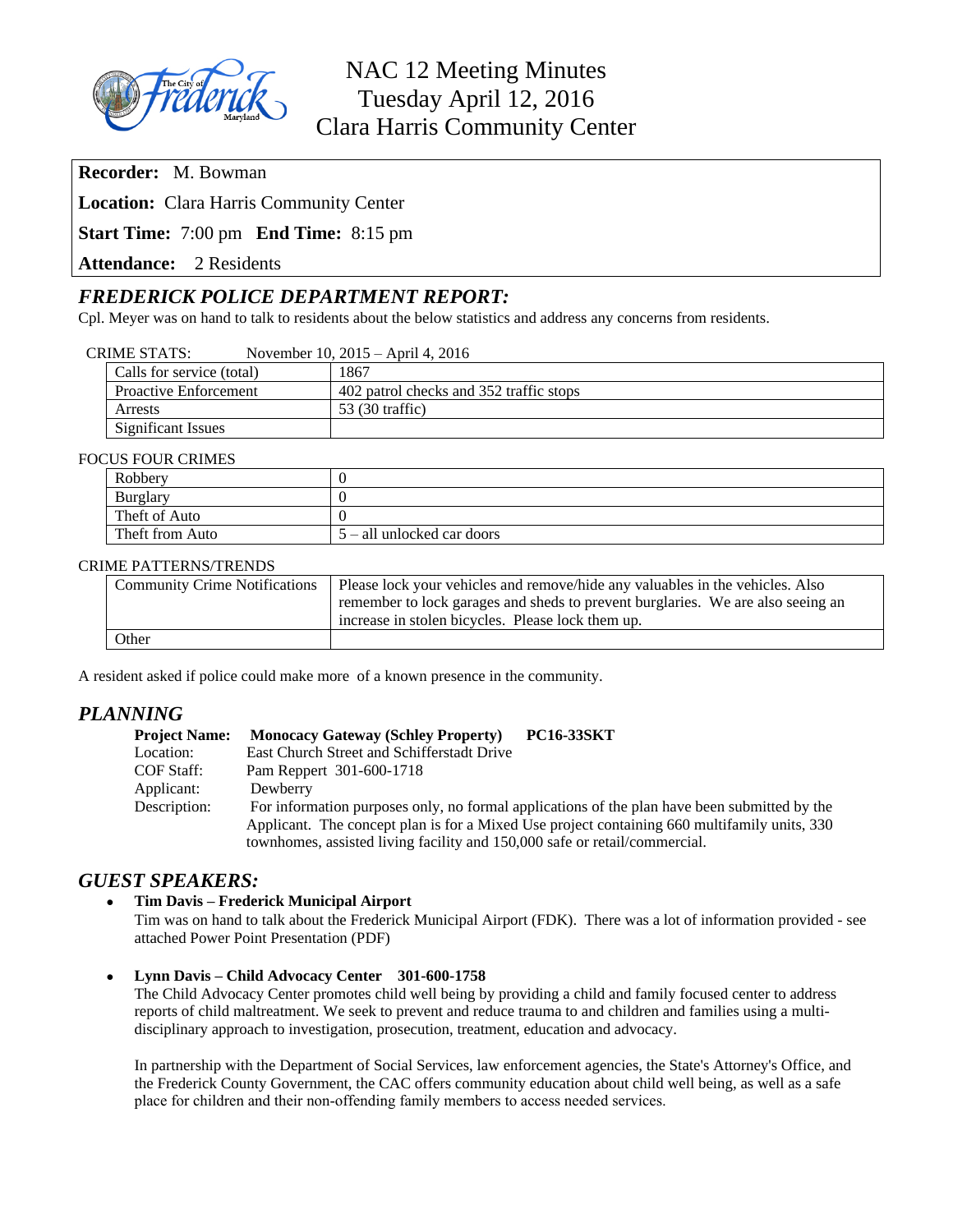

**Recorder:** M. Bowman

**Location:** Clara Harris Community Center

**Start Time:** 7:00 pm **End Time:** 8:15 pm

**Attendance:** 2 Residents

## *FREDERICK POLICE DEPARTMENT REPORT:*

Cpl. Meyer was on hand to talk to residents about the below statistics and address any concerns from residents.

| <b>CRIME STATS:</b> | November 10, $2015 -$ April 4, $2016$ |
|---------------------|---------------------------------------|
|---------------------|---------------------------------------|

| Calls for service (total)    | 1867                                    |
|------------------------------|-----------------------------------------|
| <b>Proactive Enforcement</b> | 402 patrol checks and 352 traffic stops |
| Arrests                      | 53 (30 traffic)                         |
| Significant Issues           |                                         |

#### FOCUS FOUR CRIMES

| Robbery         |                            |  |
|-----------------|----------------------------|--|
| Burglary        |                            |  |
| Theft of Auto   |                            |  |
| Theft from Auto | 5 – all unlocked car doors |  |

#### CRIME PATTERNS/TRENDS

| <b>Community Crime Notifications</b> | Please lock your vehicles and remove/hide any valuables in the vehicles. Also   |
|--------------------------------------|---------------------------------------------------------------------------------|
|                                      | remember to lock garages and sheds to prevent burglaries. We are also seeing an |
|                                      | increase in stolen bicycles. Please lock them up.                               |
| Other                                |                                                                                 |

A resident asked if police could make more of a known presence in the community.

#### *PLANNING*

| <b>Project Name:</b> | <b>Monocacy Gateway (Schley Property)</b>                                  | <b>PC16-33SKT</b>                                                                            |
|----------------------|----------------------------------------------------------------------------|----------------------------------------------------------------------------------------------|
| Location:            | East Church Street and Schifferstadt Drive                                 |                                                                                              |
| COF Staff:           | Pam Reppert 301-600-1718                                                   |                                                                                              |
| Applicant:           | Dewberry                                                                   |                                                                                              |
| Description:         |                                                                            | For information purposes only, no formal applications of the plan have been submitted by the |
|                      |                                                                            | Applicant. The concept plan is for a Mixed Use project containing 660 multifamily units, 330 |
|                      | townhomes, assisted living facility and 150,000 safe or retail/commercial. |                                                                                              |

#### *GUEST SPEAKERS:*

- **Tim Davis – Frederick Municipal Airport**
	- Tim was on hand to talk about the Frederick Municipal Airport (FDK). There was a lot of information provided see attached Power Point Presentation (PDF)
- **Lynn Davis – Child Advocacy Center 301-600-1758**

The Child Advocacy Center promotes child well being by providing a child and family focused center to address reports of child maltreatment. We seek to prevent and reduce trauma to and children and families using a multidisciplinary approach to investigation, prosecution, treatment, education and advocacy.

In partnership with the Department of Social Services, law enforcement agencies, the State's Attorney's Office, and the Frederick County Government, the CAC offers community education about child well being, as well as a safe place for children and their non-offending family members to access needed services.